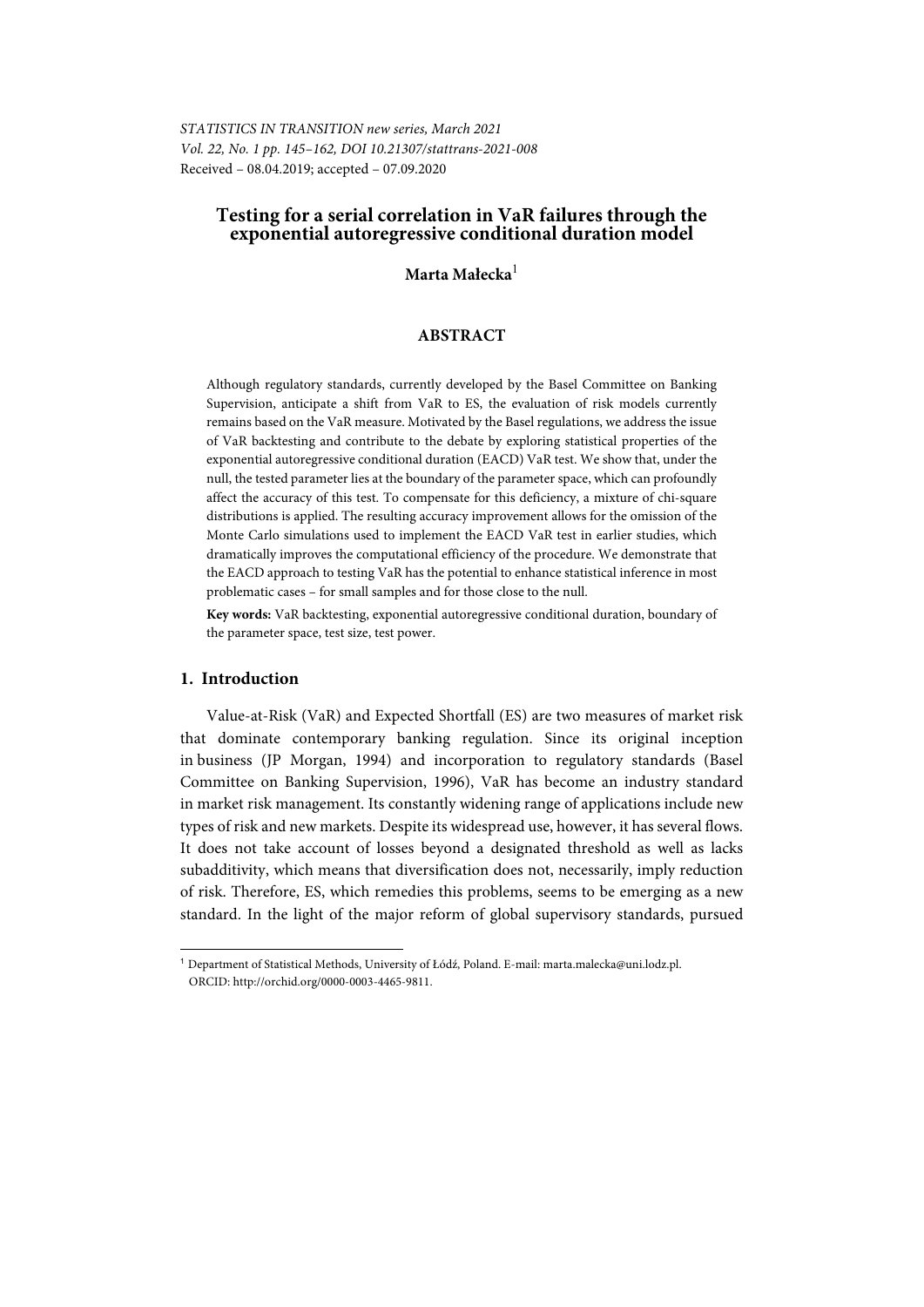*STATISTICS IN TRANSITION new series, March 2021 Vol. 22, No. 1 pp. 145–162, DOI 10.21307/stattrans-2021-008*  Received – 08.04.2019; accepted – 07.09.2020

## **Testing for a serial correlation in VaR failures through the exponential autoregressive conditional duration model**

### **Marta Małecka**<sup>1</sup>

### **ABSTRACT**

Although regulatory standards, currently developed by the Basel Committee on Banking Supervision, anticipate a shift from VaR to ES, the evaluation of risk models currently remains based on the VaR measure. Motivated by the Basel regulations, we address the issue of VaR backtesting and contribute to the debate by exploring statistical properties of the exponential autoregressive conditional duration (EACD) VaR test. We show that, under the null, the tested parameter lies at the boundary of the parameter space, which can profoundly affect the accuracy of this test. To compensate for this deficiency, a mixture of chi-square distributions is applied. The resulting accuracy improvement allows for the omission of the Monte Carlo simulations used to implement the EACD VaR test in earlier studies, which dramatically improves the computational efficiency of the procedure. We demonstrate that the EACD approach to testing VaR has the potential to enhance statistical inference in most problematic cases – for small samples and for those close to the null.

**Key words:** VaR backtesting, exponential autoregressive conditional duration, boundary of the parameter space, test size, test power.

#### **1. Introduction**

l

Value-at-Risk (VaR) and Expected Shortfall (ES) are two measures of market risk that dominate contemporary banking regulation. Since its original inception in business (JP Morgan, 1994) and incorporation to regulatory standards (Basel Committee on Banking Supervision, 1996), VaR has become an industry standard in market risk management. Its constantly widening range of applications include new types of risk and new markets. Despite its widespread use, however, it has several flows. It does not take account of losses beyond a designated threshold as well as lacks subadditivity, which means that diversification does not, necessarily, imply reduction of risk. Therefore, ES, which remedies this problems, seems to be emerging as a new standard. In the light of the major reform of global supervisory standards, pursued

<sup>1</sup> Department of Statistical Methods, University of Łódź, Poland. E-mail: marta.malecka@uni.lodz.pl. ORCID: http://orchid.org/0000-0003-4465-9811.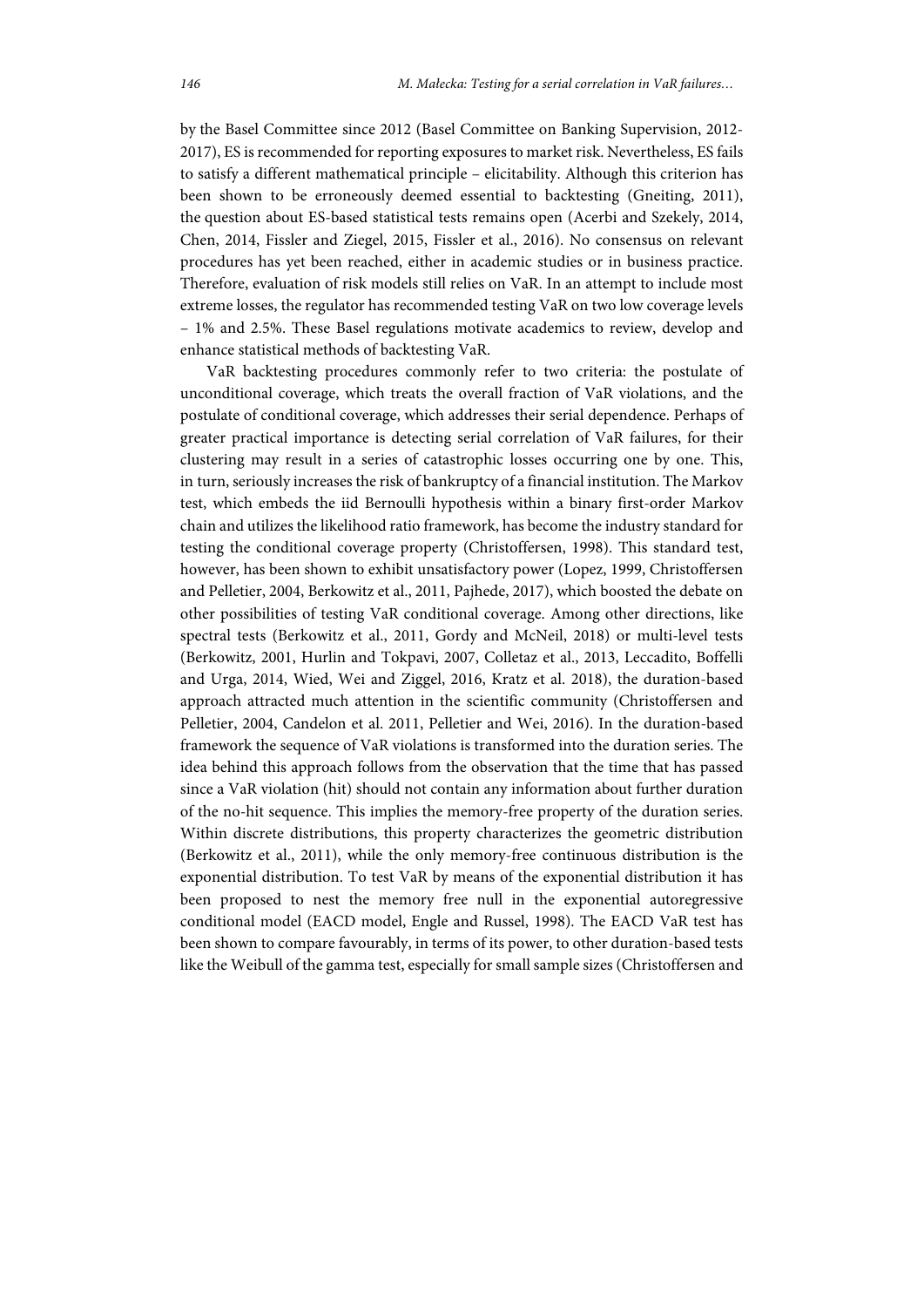by the Basel Committee since 2012 (Basel Committee on Banking Supervision, 2012- 2017), ES is recommended for reporting exposures to market risk. Nevertheless, ES fails to satisfy a different mathematical principle – elicitability. Although this criterion has been shown to be erroneously deemed essential to backtesting (Gneiting, 2011), the question about ES-based statistical tests remains open (Acerbi and Szekely, 2014, Chen, 2014, Fissler and Ziegel, 2015, Fissler et al., 2016). No consensus on relevant procedures has yet been reached, either in academic studies or in business practice. Therefore, evaluation of risk models still relies on VaR. In an attempt to include most extreme losses, the regulator has recommended testing VaR on two low coverage levels – 1% and 2.5%. These Basel regulations motivate academics to review, develop and enhance statistical methods of backtesting VaR.

VaR backtesting procedures commonly refer to two criteria: the postulate of unconditional coverage, which treats the overall fraction of VaR violations, and the postulate of conditional coverage, which addresses their serial dependence. Perhaps of greater practical importance is detecting serial correlation of VaR failures, for their clustering may result in a series of catastrophic losses occurring one by one. This, in turn, seriously increases the risk of bankruptcy of a financial institution. The Markov test, which embeds the iid Bernoulli hypothesis within a binary first-order Markov chain and utilizes the likelihood ratio framework, has become the industry standard for testing the conditional coverage property (Christoffersen, 1998). This standard test, however, has been shown to exhibit unsatisfactory power (Lopez, 1999, Christoffersen and Pelletier, 2004, Berkowitz et al., 2011, Pajhede, 2017), which boosted the debate on other possibilities of testing VaR conditional coverage. Among other directions, like spectral tests (Berkowitz et al., 2011, Gordy and McNeil, 2018) or multi-level tests (Berkowitz, 2001, Hurlin and Tokpavi, 2007, Colletaz et al., 2013, Leccadito, Boffelli and Urga, 2014, Wied, Wei and Ziggel, 2016, Kratz et al. 2018), the duration-based approach attracted much attention in the scientific community (Christoffersen and Pelletier, 2004, Candelon et al. 2011, Pelletier and Wei, 2016). In the duration-based framework the sequence of VaR violations is transformed into the duration series. The idea behind this approach follows from the observation that the time that has passed since a VaR violation (hit) should not contain any information about further duration of the no-hit sequence. This implies the memory-free property of the duration series. Within discrete distributions, this property characterizes the geometric distribution (Berkowitz et al., 2011), while the only memory-free continuous distribution is the exponential distribution. To test VaR by means of the exponential distribution it has been proposed to nest the memory free null in the exponential autoregressive conditional model (EACD model, Engle and Russel, 1998). The EACD VaR test has been shown to compare favourably, in terms of its power, to other duration-based tests like the Weibull of the gamma test, especially for small sample sizes (Christoffersen and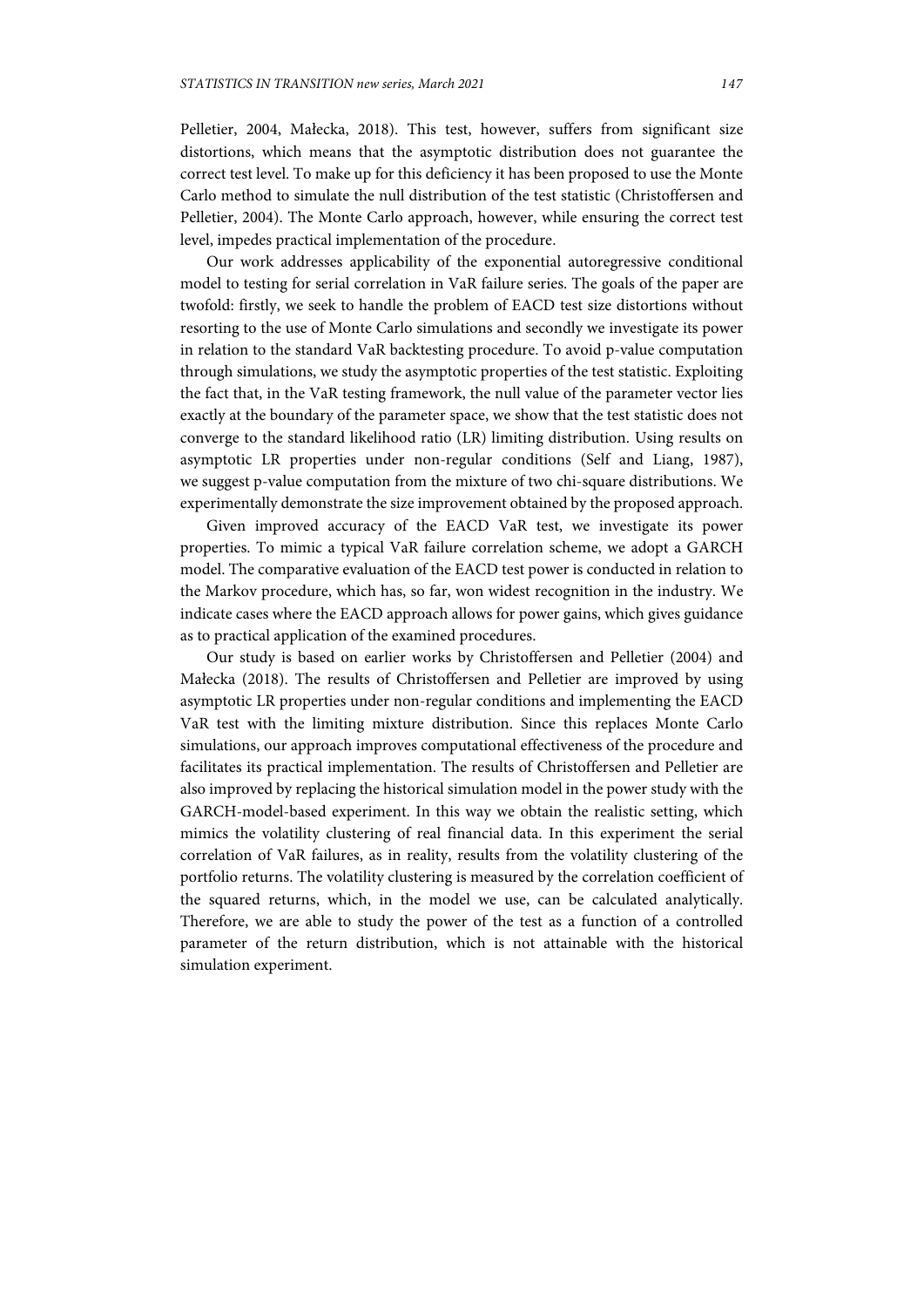Pelletier, 2004, Małecka, 2018). This test, however, suffers from significant size distortions, which means that the asymptotic distribution does not guarantee the correct test level. To make up for this deficiency it has been proposed to use the Monte Carlo method to simulate the null distribution of the test statistic (Christoffersen and Pelletier, 2004). The Monte Carlo approach, however, while ensuring the correct test level, impedes practical implementation of the procedure.

Our work addresses applicability of the exponential autoregressive conditional model to testing for serial correlation in VaR failure series. The goals of the paper are twofold: firstly, we seek to handle the problem of EACD test size distortions without resorting to the use of Monte Carlo simulations and secondly we investigate its power in relation to the standard VaR backtesting procedure. To avoid p-value computation through simulations, we study the asymptotic properties of the test statistic. Exploiting the fact that, in the VaR testing framework, the null value of the parameter vector lies exactly at the boundary of the parameter space, we show that the test statistic does not converge to the standard likelihood ratio (LR) limiting distribution. Using results on asymptotic LR properties under non-regular conditions (Self and Liang, 1987), we suggest p-value computation from the mixture of two chi-square distributions. We experimentally demonstrate the size improvement obtained by the proposed approach.

Given improved accuracy of the EACD VaR test, we investigate its power properties. To mimic a typical VaR failure correlation scheme, we adopt a GARCH model. The comparative evaluation of the EACD test power is conducted in relation to the Markov procedure, which has, so far, won widest recognition in the industry. We indicate cases where the EACD approach allows for power gains, which gives guidance as to practical application of the examined procedures.

Our study is based on earlier works by Christoffersen and Pelletier (2004) and Małecka (2018). The results of Christoffersen and Pelletier are improved by using asymptotic LR properties under non-regular conditions and implementing the EACD VaR test with the limiting mixture distribution. Since this replaces Monte Carlo simulations, our approach improves computational effectiveness of the procedure and facilitates its practical implementation. The results of Christoffersen and Pelletier are also improved by replacing the historical simulation model in the power study with the GARCH-model-based experiment. In this way we obtain the realistic setting, which mimics the volatility clustering of real financial data. In this experiment the serial correlation of VaR failures, as in reality, results from the volatility clustering of the portfolio returns. The volatility clustering is measured by the correlation coefficient of the squared returns, which, in the model we use, can be calculated analytically. Therefore, we are able to study the power of the test as a function of a controlled parameter of the return distribution, which is not attainable with the historical simulation experiment.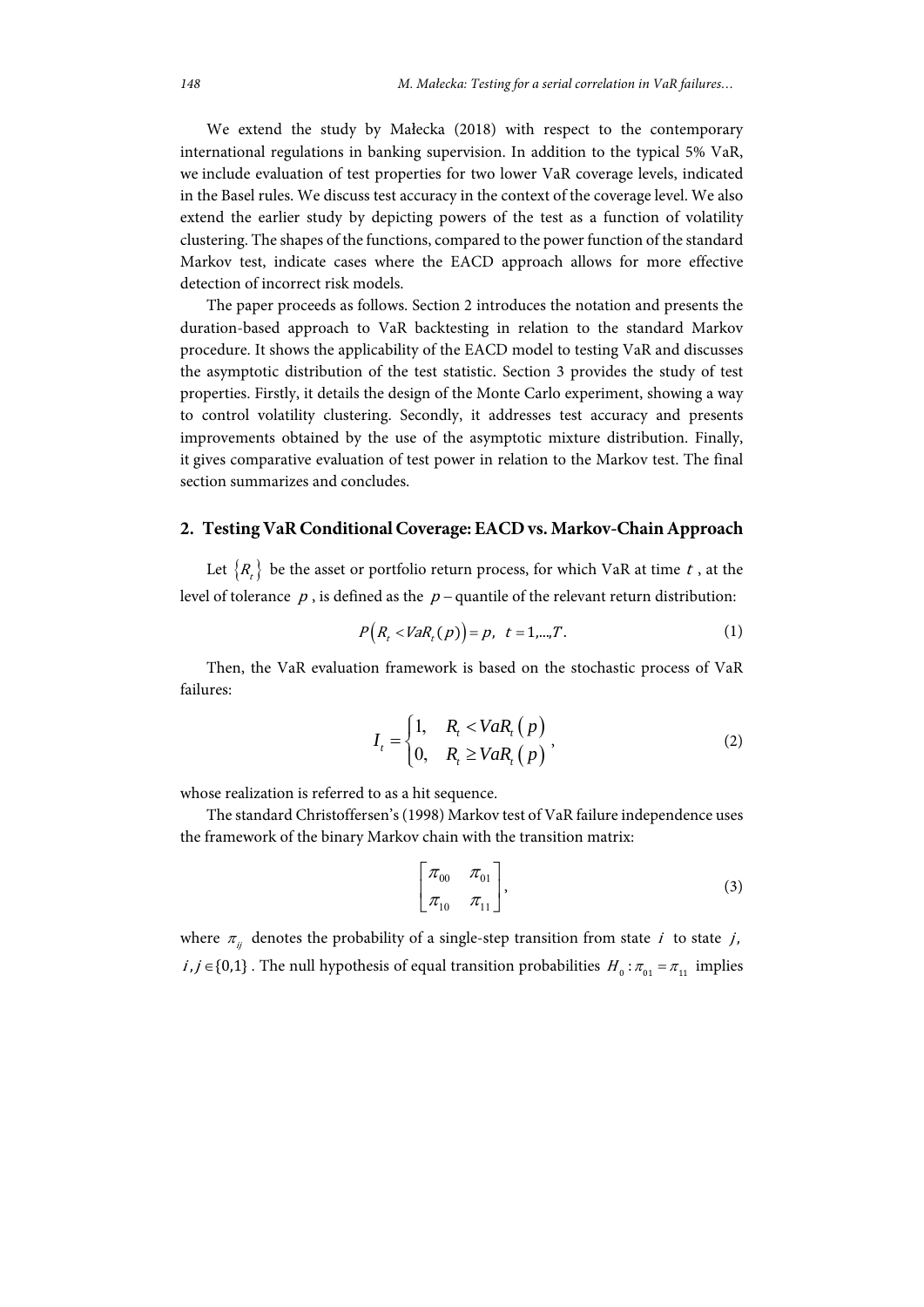We extend the study by Małecka (2018) with respect to the contemporary international regulations in banking supervision. In addition to the typical 5% VaR, we include evaluation of test properties for two lower VaR coverage levels, indicated in the Basel rules. We discuss test accuracy in the context of the coverage level. We also extend the earlier study by depicting powers of the test as a function of volatility clustering. The shapes of the functions, compared to the power function of the standard Markov test, indicate cases where the EACD approach allows for more effective detection of incorrect risk models.

The paper proceeds as follows. Section 2 introduces the notation and presents the duration-based approach to VaR backtesting in relation to the standard Markov procedure. It shows the applicability of the EACD model to testing VaR and discusses the asymptotic distribution of the test statistic. Section 3 provides the study of test properties. Firstly, it details the design of the Monte Carlo experiment, showing a way to control volatility clustering. Secondly, it addresses test accuracy and presents improvements obtained by the use of the asymptotic mixture distribution. Finally, it gives comparative evaluation of test power in relation to the Markov test. The final section summarizes and concludes.

#### **2. Testing VaR Conditional Coverage: EACD vs. Markov-Chain Approach**

Let  $\{R_{t}\}\$ be the asset or portfolio return process, for which VaR at time t, at the level of tolerance  $p$ , is defined as the  $p$  – quantile of the relevant return distribution:

$$
P(R_t < VaR_t(p)) = p, \ t = 1,...,T.
$$
 (1)

Then, the VaR evaluation framework is based on the stochastic process of VaR failures:

$$
I_{t} = \begin{cases} 1, & R_{t} < VaR_{t}(p) \\ 0, & R_{t} \ge VaR_{t}(p) \end{cases}
$$
 (2)

whose realization is referred to as a hit sequence.

The standard Christoffersen's (1998) Markov test of VaR failure independence uses the framework of the binary Markov chain with the transition matrix:

$$
\begin{bmatrix} \pi_{00} & \pi_{01} \\ \pi_{10} & \pi_{11} \end{bmatrix}, \tag{3}
$$

where  $\pi_{ij}$  denotes the probability of a single-step transition from state *i* to state *j*,  $i, j \in \{0,1\}$ . The null hypothesis of equal transition probabilities  $H_0: \pi_{01} = \pi_{11}$  implies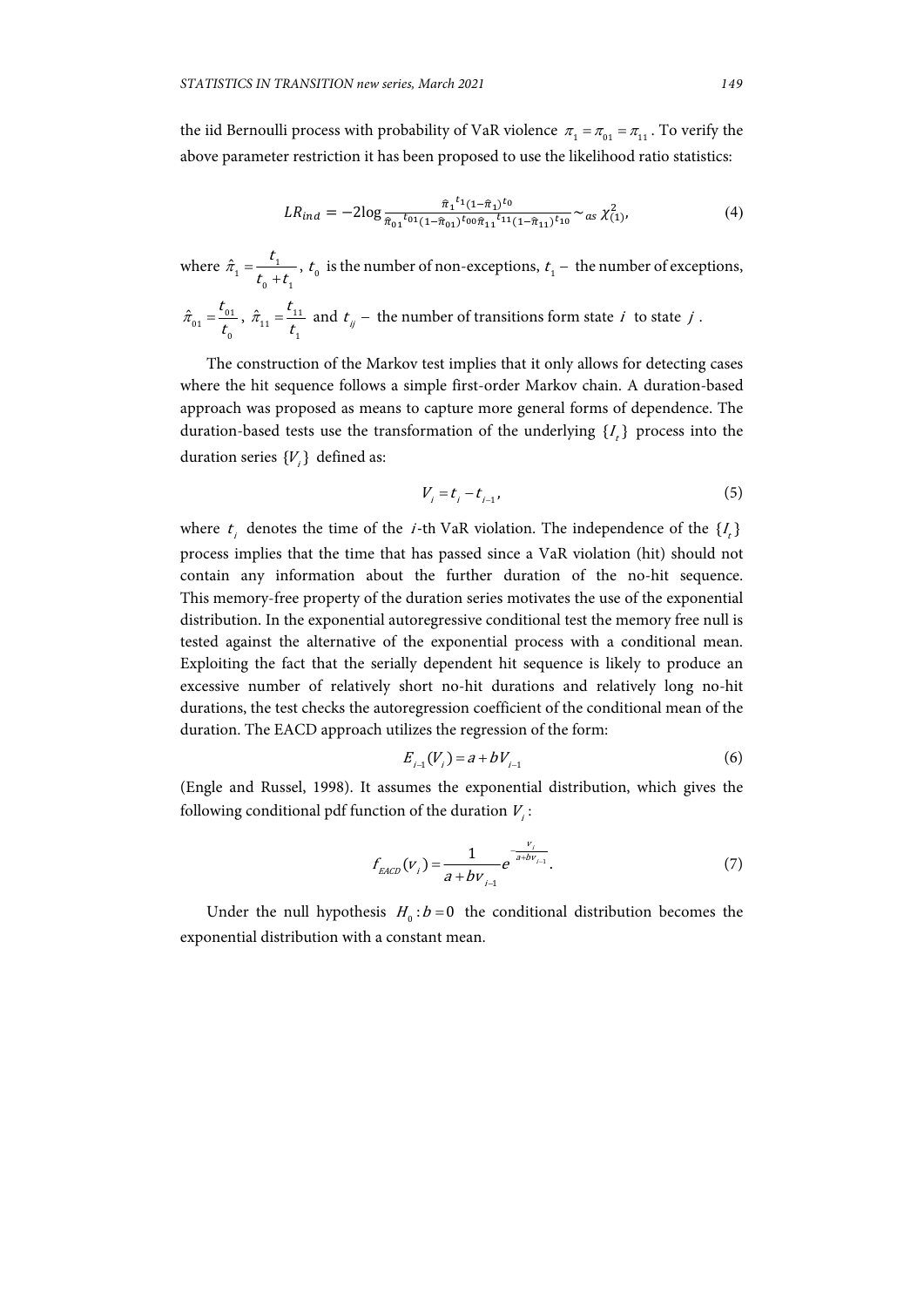the iid Bernoulli process with probability of VaR violence  $\pi_1 = \pi_{01} = \pi_{11}$ . To verify the above parameter restriction it has been proposed to use the likelihood ratio statistics:

$$
LR_{ind} = -2\log \frac{\hat{\pi}_1^{t_1}(1-\hat{\pi}_1)^{t_0}}{\hat{\pi}_{01}^{t_01}(1-\hat{\pi}_{01})^{t_00}\hat{\pi}_{11}^{t_11}(1-\hat{\pi}_{11})^{t_{10}}} \sim_{as} \chi^2_{(1)},
$$
\n
$$
\tag{4}
$$

where 
$$
\hat{\pi}_1 = \frac{t_1}{t_0 + t_1}
$$
,  $t_0$  is the number of non-exceptions,  $t_1$  – the number of exceptions,  
 $\hat{\pi}_{01} = \frac{t_{01}}{t_0}$ ,  $\hat{\pi}_{11} = \frac{t_{11}}{t_1}$  and  $t_{ij}$  – the number of transitions form state *i* to state *j*.

The construction of the Markov test implies that it only allows for detecting cases where the hit sequence follows a simple first-order Markov chain. A duration-based approach was proposed as means to capture more general forms of dependence. The duration-based tests use the transformation of the underlying  $\{I_k\}$  process into the duration series  ${V}$  defined as:

$$
V_i = t_i - t_{i-1},\tag{5}
$$

where  $t_i$  denotes the time of the *i*-th VaR violation. The independence of the  $\{I_t\}$ process implies that the time that has passed since a VaR violation (hit) should not contain any information about the further duration of the no-hit sequence. This memory-free property of the duration series motivates the use of the exponential distribution. In the exponential autoregressive conditional test the memory free null is tested against the alternative of the exponential process with a conditional mean. Exploiting the fact that the serially dependent hit sequence is likely to produce an excessive number of relatively short no-hit durations and relatively long no-hit durations, the test checks the autoregression coefficient of the conditional mean of the duration. The EACD approach utilizes the regression of the form:

$$
E_{i-1}(V_i) = a + bV_{i-1}
$$
 (6)

(Engle and Russel, 1998). It assumes the exponential distribution, which gives the following conditional pdf function of the duration  $V_i$ :

$$
f_{EACD}(v_i) = \frac{1}{a + bv_{i-1}} e^{-\frac{v_i}{a + bv_{i-1}}}.
$$
 (7)

Under the null hypothesis  $H_0: b = 0$  the conditional distribution becomes the exponential distribution with a constant mean.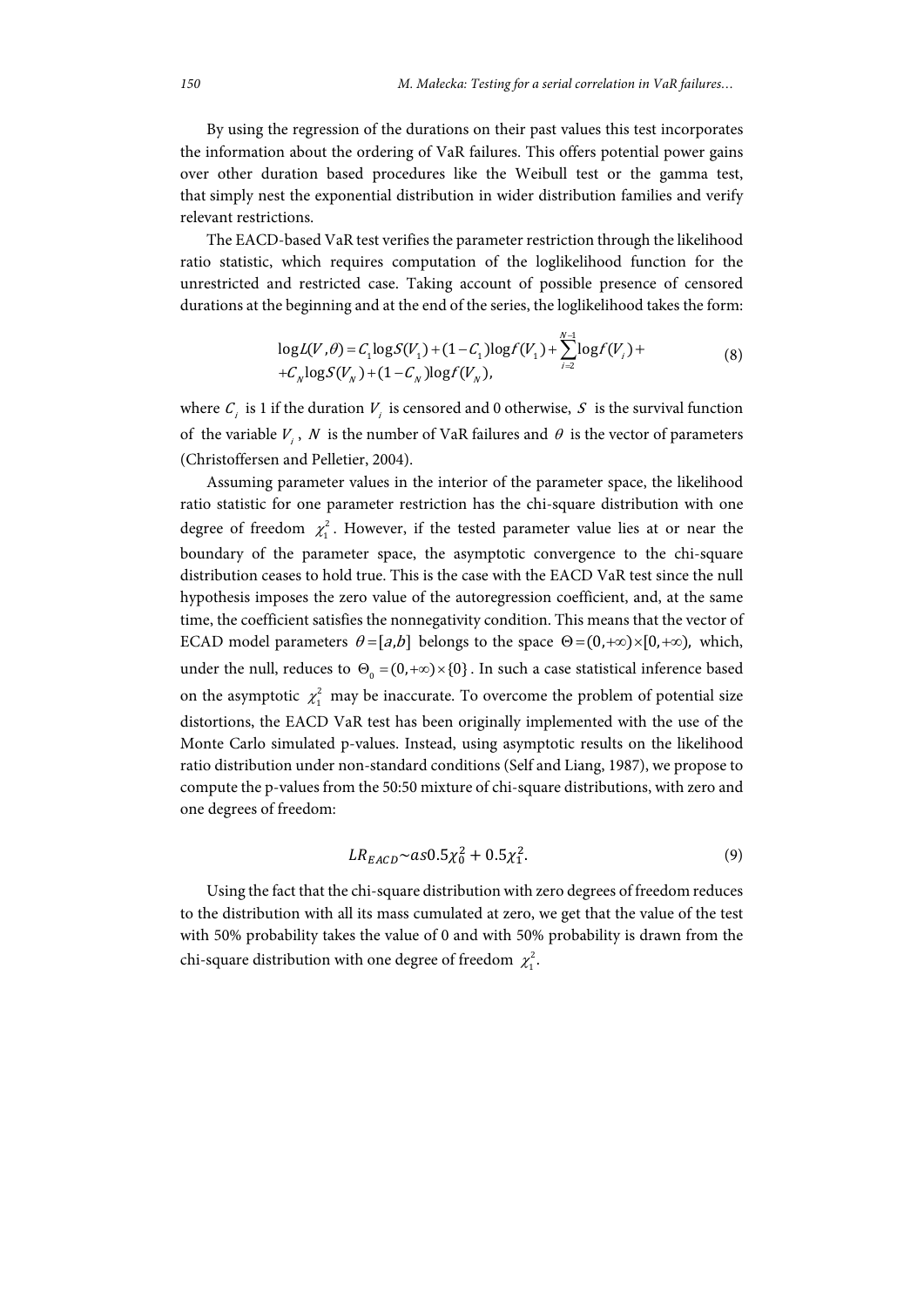By using the regression of the durations on their past values this test incorporates the information about the ordering of VaR failures. This offers potential power gains over other duration based procedures like the Weibull test or the gamma test, that simply nest the exponential distribution in wider distribution families and verify relevant restrictions.

The EACD-based VaR test verifies the parameter restriction through the likelihood ratio statistic, which requires computation of the loglikelihood function for the unrestricted and restricted case. Taking account of possible presence of censored durations at the beginning and at the end of the series, the loglikelihood takes the form:

$$
\log L(V, \theta) = C_1 \log S(V_1) + (1 - C_1) \log f(V_1) + \sum_{i=2}^{N-1} \log f(V_i) + C_N \log S(V_N) + (1 - C_N) \log f(V_N), \tag{8}
$$

where  $C_i$  is 1 if the duration  $V_i$  is censored and 0 otherwise, S is the survival function of the variable  $V_i$ , N is the number of VaR failures and  $\theta$  is the vector of parameters (Christoffersen and Pelletier, 2004).

Assuming parameter values in the interior of the parameter space, the likelihood ratio statistic for one parameter restriction has the chi-square distribution with one degree of freedom  $\chi_1^2$ . However, if the tested parameter value lies at or near the boundary of the parameter space, the asymptotic convergence to the chi-square distribution ceases to hold true. This is the case with the EACD VaR test since the null hypothesis imposes the zero value of the autoregression coefficient, and, at the same time, the coefficient satisfies the nonnegativity condition. This means that the vector of ECAD model parameters  $\theta = [a,b]$  belongs to the space  $\Theta = (0, +\infty) \times [0, +\infty)$ , which, under the null, reduces to  $\Theta_0 = (0, +\infty) \times \{0\}$ . In such a case statistical inference based on the asymptotic  $\chi_1^2$  may be inaccurate. To overcome the problem of potential size distortions, the EACD VaR test has been originally implemented with the use of the Monte Carlo simulated p-values. Instead, using asymptotic results on the likelihood ratio distribution under non-standard conditions (Self and Liang, 1987), we propose to compute the p-values from the 50:50 mixture of chi-square distributions, with zero and one degrees of freedom:

$$
LR_{EACD} \sim a s 0.5 \chi_0^2 + 0.5 \chi_1^2. \tag{9}
$$

Using the fact that the chi-square distribution with zero degrees of freedom reduces to the distribution with all its mass cumulated at zero, we get that the value of the test with 50% probability takes the value of 0 and with 50% probability is drawn from the chi-square distribution with one degree of freedom  $\chi_1^2$ .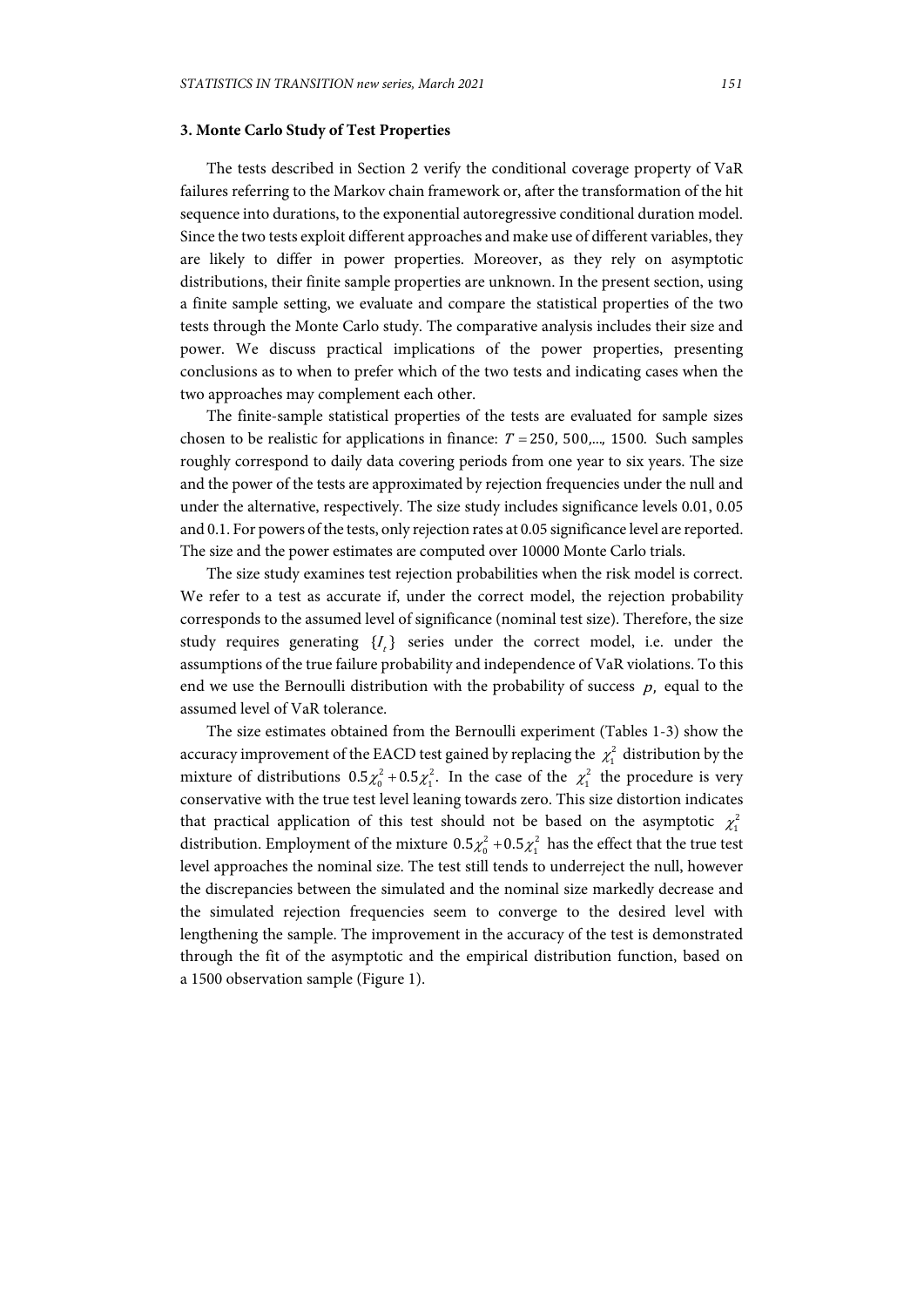#### **3. Monte Carlo Study of Test Properties**

The tests described in Section 2 verify the conditional coverage property of VaR failures referring to the Markov chain framework or, after the transformation of the hit sequence into durations, to the exponential autoregressive conditional duration model. Since the two tests exploit different approaches and make use of different variables, they are likely to differ in power properties. Moreover, as they rely on asymptotic distributions, their finite sample properties are unknown. In the present section, using a finite sample setting, we evaluate and compare the statistical properties of the two tests through the Monte Carlo study. The comparative analysis includes their size and power. We discuss practical implications of the power properties, presenting conclusions as to when to prefer which of the two tests and indicating cases when the two approaches may complement each other.

The finite-sample statistical properties of the tests are evaluated for sample sizes chosen to be realistic for applications in finance:  $T = 250, 500, \dots, 1500$ . Such samples roughly correspond to daily data covering periods from one year to six years. The size and the power of the tests are approximated by rejection frequencies under the null and under the alternative, respectively. The size study includes significance levels 0.01, 0.05 and 0.1. For powers of the tests, only rejection rates at 0.05 significance level are reported. The size and the power estimates are computed over 10000 Monte Carlo trials.

The size study examines test rejection probabilities when the risk model is correct. We refer to a test as accurate if, under the correct model, the rejection probability corresponds to the assumed level of significance (nominal test size). Therefore, the size study requires generating  $\{I_{k}\}$  series under the correct model, i.e. under the assumptions of the true failure probability and independence of VaR violations. To this end we use the Bernoulli distribution with the probability of success  $p$ , equal to the assumed level of VaR tolerance.

The size estimates obtained from the Bernoulli experiment (Tables 1-3) show the accuracy improvement of the EACD test gained by replacing the  $\chi_1^2$  distribution by the mixture of distributions  $0.5\chi_0^2 + 0.5\chi_1^2$ . In the case of the  $\chi_1^2$  the procedure is very conservative with the true test level leaning towards zero. This size distortion indicates that practical application of this test should not be based on the asymptotic  $\chi_1^2$ distribution. Employment of the mixture  $0.5\chi_0^2 + 0.5\chi_1^2$  has the effect that the true test level approaches the nominal size. The test still tends to underreject the null, however the discrepancies between the simulated and the nominal size markedly decrease and the simulated rejection frequencies seem to converge to the desired level with lengthening the sample. The improvement in the accuracy of the test is demonstrated through the fit of the asymptotic and the empirical distribution function, based on a 1500 observation sample (Figure 1).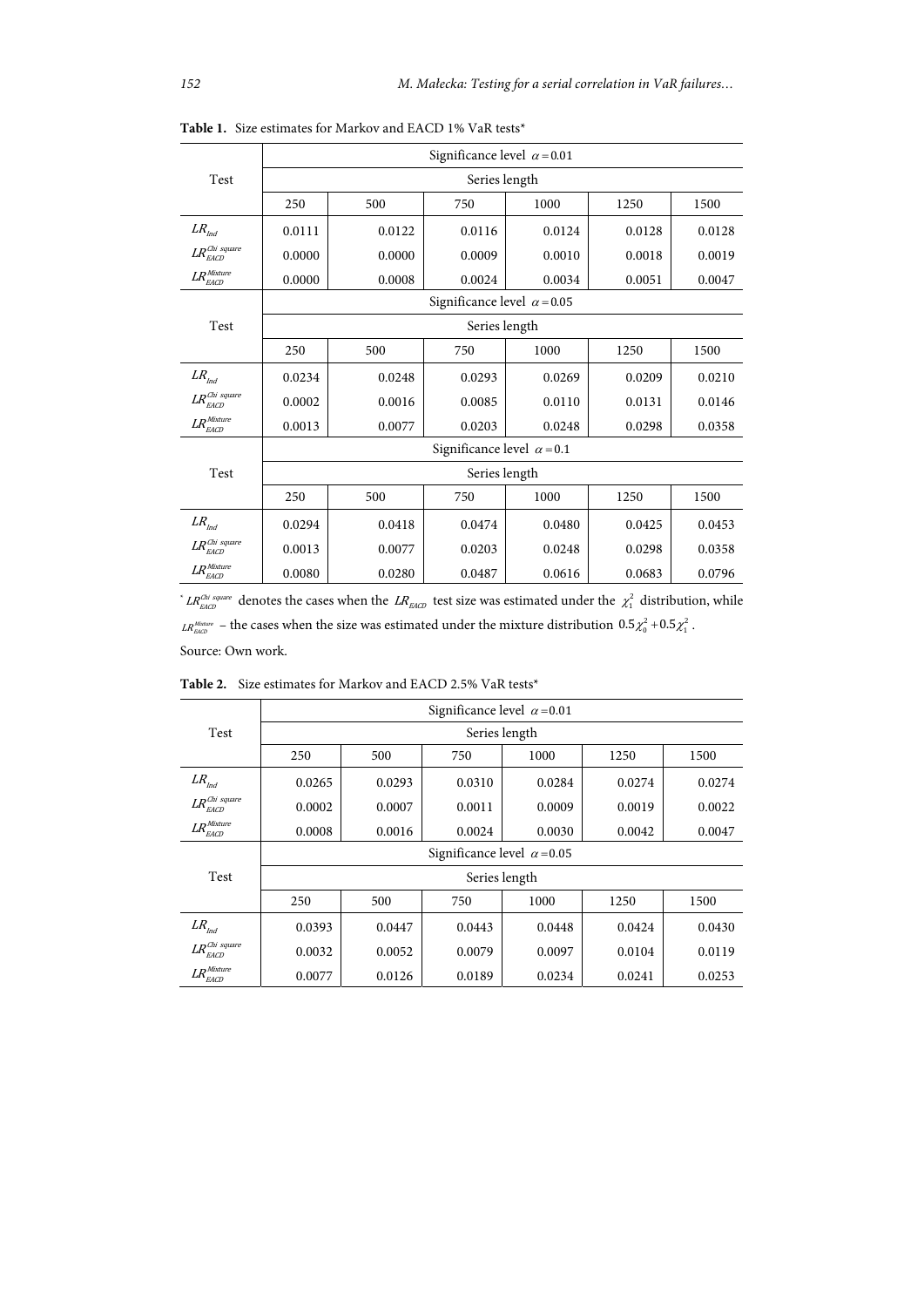|                                              | Significance level $\alpha$ = 0.01 |        |               |        |        |        |  |  |
|----------------------------------------------|------------------------------------|--------|---------------|--------|--------|--------|--|--|
| Test                                         | Series length                      |        |               |        |        |        |  |  |
|                                              | 250                                | 500    | 750           | 1000   | 1250   | 1500   |  |  |
| ${\it LR}_{\it Ind}$                         | 0.0111                             | 0.0122 | 0.0116        | 0.0124 | 0.0128 | 0.0128 |  |  |
| $LR_{\emph{EACD}}^{\emph{Chi square}}$       | 0.0000                             | 0.0000 | 0.0009        | 0.0010 | 0.0018 | 0.0019 |  |  |
| $LR_{EACD}^{Mixture}$                        | 0.0000                             | 0.0008 | 0.0024        | 0.0034 | 0.0051 | 0.0047 |  |  |
|                                              | Significance level $\alpha$ = 0.05 |        |               |        |        |        |  |  |
| Test                                         |                                    |        | Series length |        |        |        |  |  |
|                                              | 250                                | 500    | 750           | 1000   | 1250   | 1500   |  |  |
| $LR_{\text{Ind}}$                            | 0.0234                             | 0.0248 | 0.0293        | 0.0269 | 0.0209 | 0.0210 |  |  |
| $LR_{\sim}^{\textit{Chi square}}$<br>EACD    | 0.0002                             | 0.0016 | 0.0085        | 0.0110 | 0.0131 | 0.0146 |  |  |
| $\textit{LR}_\textit{EACD}^\textit{Mixture}$ | 0.0013                             | 0.0077 | 0.0203        | 0.0248 | 0.0298 | 0.0358 |  |  |
|                                              | Significance level $\alpha$ = 0.1  |        |               |        |        |        |  |  |
| Test                                         | Series length                      |        |               |        |        |        |  |  |
|                                              | 250                                | 500    | 750           | 1000   | 1250   | 1500   |  |  |
| $LR_{\text{Ind}}$                            | 0.0294                             | 0.0418 | 0.0474        | 0.0480 | 0.0425 | 0.0453 |  |  |
| $LR_{EACD}^{Chi~square}$                     | 0.0013                             | 0.0077 | 0.0203        | 0.0248 | 0.0298 | 0.0358 |  |  |
| $LR_{EACD}^{Mixture}$                        | 0.0080                             | 0.0280 | 0.0487        | 0.0616 | 0.0683 | 0.0796 |  |  |

**Table 1.** Size estimates for Markov and EACD 1% VaR tests\*

\*  $LR_{EACD}^{Chi\ square}$  denotes the cases when the  $LR_{EACD}$  test size was estimated under the  $\chi_1^2$  distribution, while  $LR_{\text{Edd2}}^{\text{Mfature}}$  – the cases when the size was estimated under the mixture distribution  $0.5\chi_0^2 + 0.5\chi_1^2$ . Source: Own work.

|                                              | Significance level $\alpha$ = 0.01 |                    |        |        |        |        |  |  |
|----------------------------------------------|------------------------------------|--------------------|--------|--------|--------|--------|--|--|
| Test                                         | Series length                      |                    |        |        |        |        |  |  |
|                                              | 250                                | 500<br>1000<br>750 |        | 1250   | 1500   |        |  |  |
| $LR_{\text{Ind}}$                            | 0.0265                             | 0.0293             | 0.0310 | 0.0284 | 0.0274 | 0.0274 |  |  |
| $LR_{EACD}^{Chi~square}$                     | 0.0002                             | 0.0007             | 0.0011 | 0.0009 | 0.0019 | 0.0022 |  |  |
| $\textit{LR}_\textit{EACD}^\textit{Mixture}$ | 0.0008                             | 0.0016             | 0.0024 | 0.0030 | 0.0042 | 0.0047 |  |  |
|                                              | Significance level $\alpha$ = 0.05 |                    |        |        |        |        |  |  |
| Test                                         | Series length                      |                    |        |        |        |        |  |  |
|                                              | 250                                | 500                | 750    | 1000   | 1250   | 1500   |  |  |
| $LR_{\text{Ind}}$                            | 0.0393                             | 0.0447             | 0.0443 | 0.0448 | 0.0424 | 0.0430 |  |  |
| $LR_-^{Chi\ square}$<br><b>EACD</b>          | 0.0032                             | 0.0052             | 0.0079 | 0.0097 | 0.0104 | 0.0119 |  |  |
| $\textit{LR}^{\textit{Mixture}}$<br>EACD     | 0.0077                             | 0.0126             | 0.0189 | 0.0234 | 0.0241 | 0.0253 |  |  |

**Table 2.** Size estimates for Markov and EACD 2.5% VaR tests\*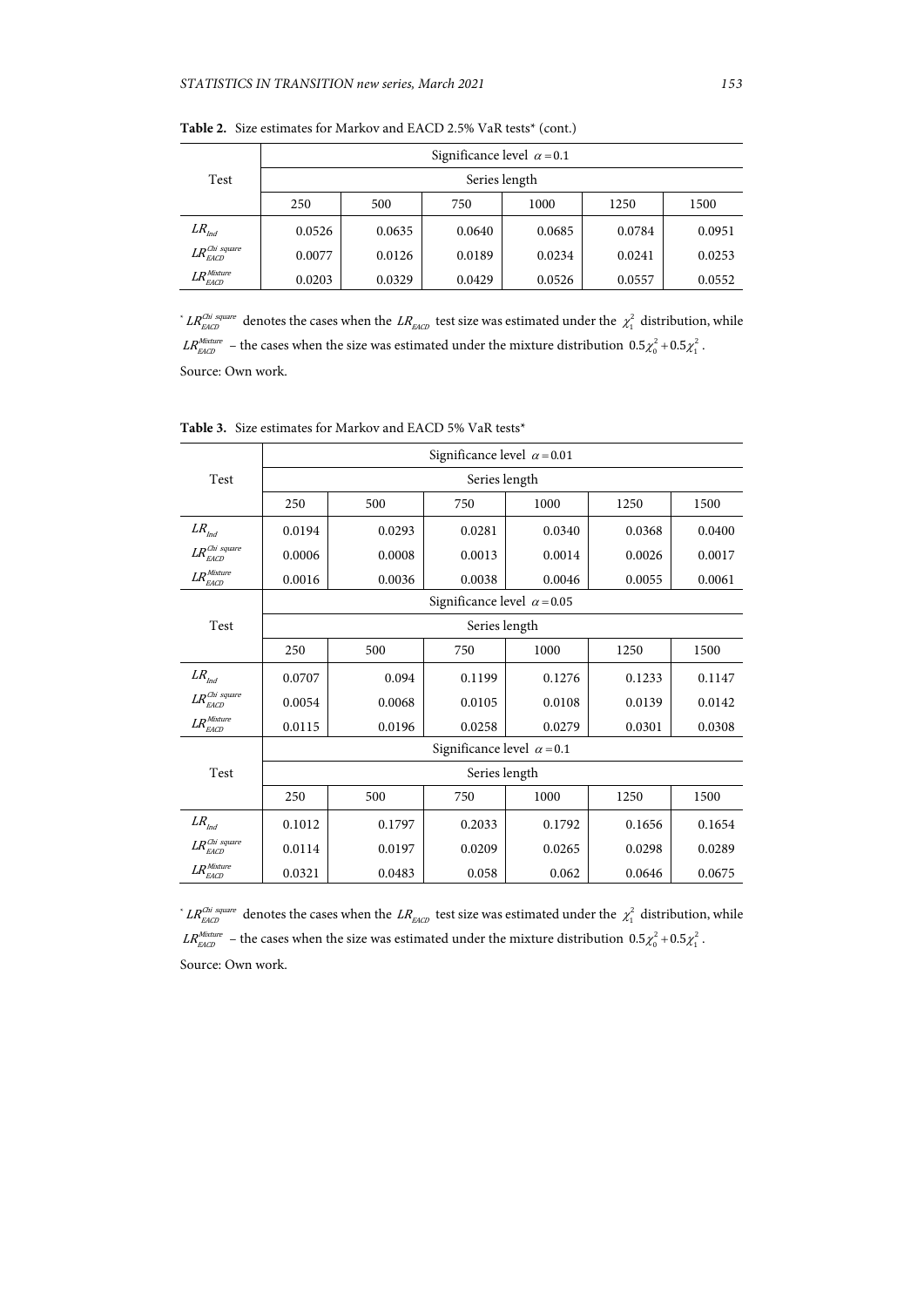|                                              | Significance level $\alpha$ = 0.1 |        |        |        |        |        |  |  |
|----------------------------------------------|-----------------------------------|--------|--------|--------|--------|--------|--|--|
| Test                                         | Series length                     |        |        |        |        |        |  |  |
|                                              | 250                               | 500    | 750    |        | 1250   | 1500   |  |  |
| $LR$ <sub>Ind</sub>                          | 0.0526                            | 0.0635 | 0.0640 | 0.0685 | 0.0784 | 0.0951 |  |  |
| $LR_{EACD}^{\textit{Chi square}}$            | 0.0077                            | 0.0126 | 0.0189 | 0.0234 | 0.0241 | 0.0253 |  |  |
| $\mathit{LR}_\mathit{EACD}^\mathit{Mixture}$ | 0.0203                            | 0.0329 | 0.0429 | 0.0526 | 0.0557 | 0.0552 |  |  |

Table 2. Size estimates for Markov and EACD 2.5% VaR tests<sup>\*</sup> (cont.)

\*  $LR_{EACD}^{Chi\ square}$  denotes the cases when the  $LR_{EACD}$  test size was estimated under the  $\chi_1^2$  distribution, while  $LR_{\text{EACD}}^{\text{Mixture}}$  – the cases when the size was estimated under the mixture distribution  $0.5\chi_0^2 + 0.5\chi_1^2$ . Source: Own work.

|                                              | Significance level $\alpha$ = 0.01 |        |               |        |        |        |  |  |
|----------------------------------------------|------------------------------------|--------|---------------|--------|--------|--------|--|--|
| Test                                         | Series length                      |        |               |        |        |        |  |  |
|                                              | 250                                | 500    | 1000<br>750   |        | 1250   | 1500   |  |  |
| ${\it LR}_{\it Ind}$                         | 0.0194                             | 0.0293 | 0.0281        | 0.0340 | 0.0368 | 0.0400 |  |  |
| $LR_{\emph{EACD}}^{\emph{Chi square}}$       | 0.0006                             | 0.0008 | 0.0013        | 0.0014 | 0.0026 | 0.0017 |  |  |
| $LR_{EACD}^{Mixture}$                        | 0.0016                             | 0.0036 | 0.0038        | 0.0046 | 0.0055 | 0.0061 |  |  |
|                                              | Significance level $\alpha$ = 0.05 |        |               |        |        |        |  |  |
| Test                                         |                                    |        | Series length |        |        |        |  |  |
|                                              | 250                                | 500    | 750           | 1000   | 1250   | 1500   |  |  |
| ${\it LR}_{\rm Ind}$                         | 0.0707                             | 0.094  | 0.1199        | 0.1276 | 0.1233 | 0.1147 |  |  |
| $LR_-^{Chi\ square}$<br>EACD                 | 0.0054                             | 0.0068 | 0.0105        | 0.0108 | 0.0139 | 0.0142 |  |  |
| $LR_{EACD}$                                  | 0.0115                             | 0.0196 | 0.0258        | 0.0279 | 0.0301 | 0.0308 |  |  |
|                                              | Significance level $\alpha$ = 0.1  |        |               |        |        |        |  |  |
| Test                                         | Series length                      |        |               |        |        |        |  |  |
|                                              | 250                                | 500    | 750           | 1000   | 1250   | 1500   |  |  |
| ${\it LR}_{\it Ind}$                         | 0.1012                             | 0.1797 | 0.2033        | 0.1792 | 0.1656 | 0.1654 |  |  |
| $LR_{-}^{Chi~square}$<br><b>EACD</b>         | 0.0114                             | 0.0197 | 0.0209        | 0.0265 | 0.0298 | 0.0289 |  |  |
| $\textit{LR}_\textit{EACD}^\textit{Mixture}$ | 0.0321                             | 0.0483 | 0.058         | 0.062  | 0.0646 | 0.0675 |  |  |

**Table 3.** Size estimates for Markov and EACD 5% VaR tests\*

┑

\*  $LR_{EACD}^{Chi\ square}$  denotes the cases when the  $LR_{EACD}$  test size was estimated under the  $\chi_1^2$  distribution, while  $LR_{\text{EACD}}^{\text{Mixture}}$  – the cases when the size was estimated under the mixture distribution  $0.5\chi_0^2 + 0.5\chi_1^2$ . Source: Own work.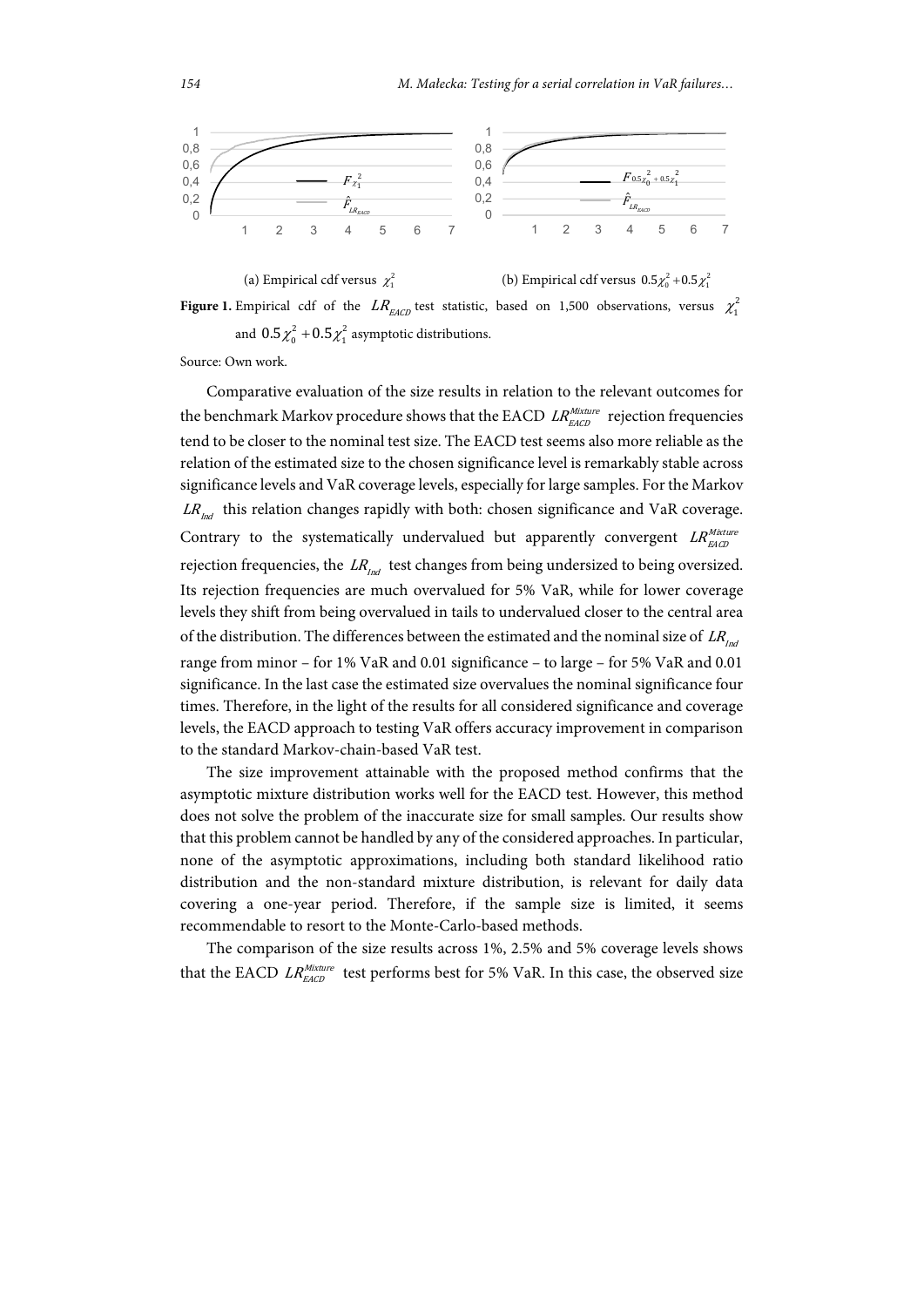

**Figure 1.** Empirical cdf of the  $LR_{EACD}$  test statistic, based on 1,500 observations, versus  $\chi_1^2$ and  $0.5\chi_0^2 + 0.5\chi_1^2$  asymptotic distributions.

Source: Own work.

Comparative evaluation of the size results in relation to the relevant outcomes for the benchmark Markov procedure shows that the EACD  $LR_{EACD}^{Mixture}$  rejection frequencies tend to be closer to the nominal test size. The EACD test seems also more reliable as the relation of the estimated size to the chosen significance level is remarkably stable across significance levels and VaR coverage levels, especially for large samples. For the Markov  $LR_{\text{rad}}$  this relation changes rapidly with both: chosen significance and VaR coverage. Contrary to the systematically undervalued but apparently convergent  $LR_{EACD}^{Mixture}$ rejection frequencies, the  $LR_{md}$  test changes from being undersized to being oversized. Its rejection frequencies are much overvalued for 5% VaR, while for lower coverage levels they shift from being overvalued in tails to undervalued closer to the central area of the distribution. The differences between the estimated and the nominal size of  $LR_{tot}$ range from minor – for 1% VaR and 0.01 significance – to large – for 5% VaR and 0.01 significance. In the last case the estimated size overvalues the nominal significance four times. Therefore, in the light of the results for all considered significance and coverage levels, the EACD approach to testing VaR offers accuracy improvement in comparison to the standard Markov-chain-based VaR test.

The size improvement attainable with the proposed method confirms that the asymptotic mixture distribution works well for the EACD test. However, this method does not solve the problem of the inaccurate size for small samples. Our results show that this problem cannot be handled by any of the considered approaches. In particular, none of the asymptotic approximations, including both standard likelihood ratio distribution and the non-standard mixture distribution, is relevant for daily data covering a one-year period. Therefore, if the sample size is limited, it seems recommendable to resort to the Monte-Carlo-based methods.

The comparison of the size results across 1%, 2.5% and 5% coverage levels shows that the EACD  $LR_{EACD}^{Mixture}$  test performs best for 5% VaR. In this case, the observed size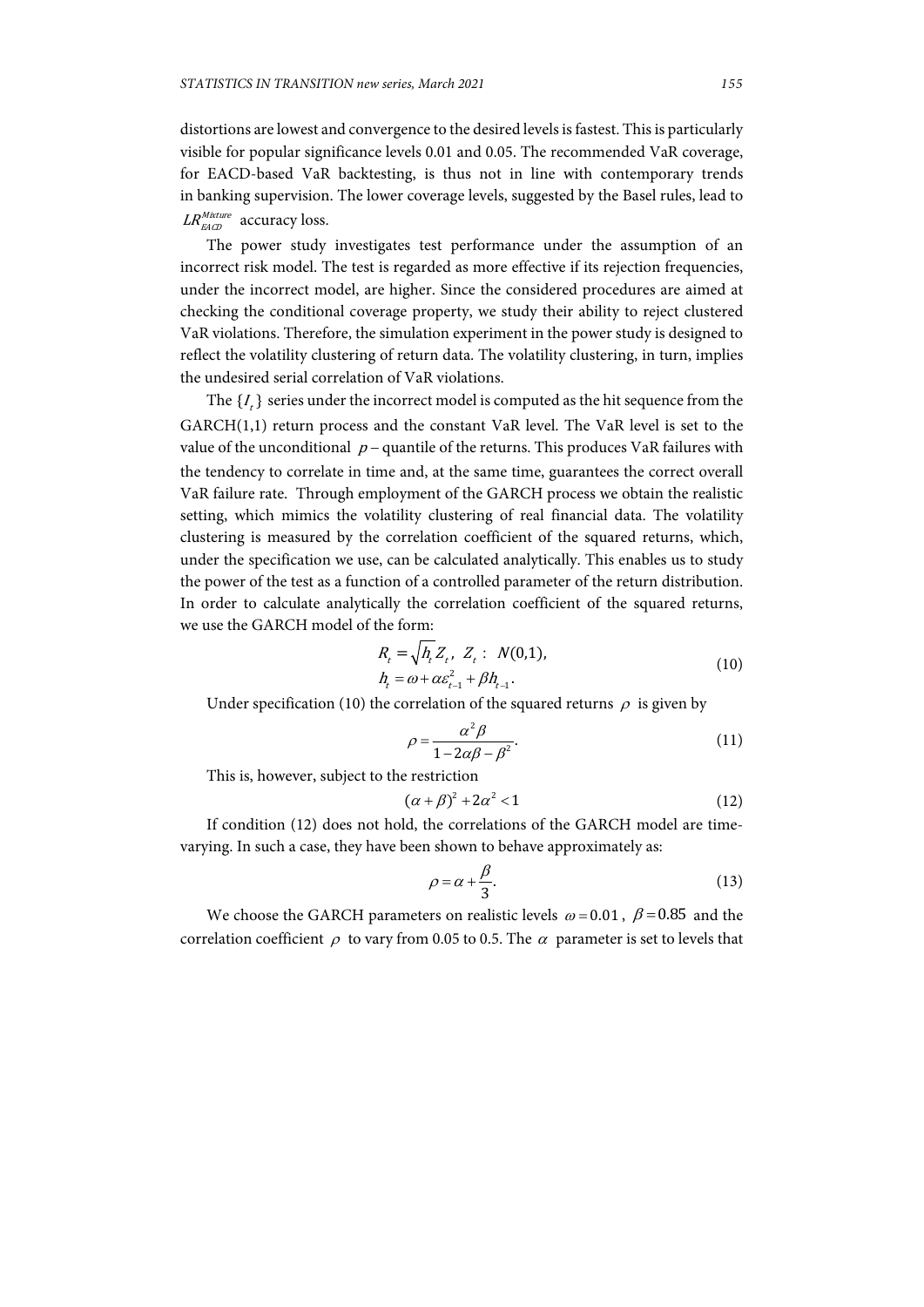distortions are lowest and convergence to the desired levels is fastest. This is particularly visible for popular significance levels 0.01 and 0.05. The recommended VaR coverage, for EACD-based VaR backtesting, is thus not in line with contemporary trends in banking supervision. The lower coverage levels, suggested by the Basel rules, lead to  $LR_{EACD}^{Mixture}$  accuracy loss.

The power study investigates test performance under the assumption of an incorrect risk model. The test is regarded as more effective if its rejection frequencies, under the incorrect model, are higher. Since the considered procedures are aimed at checking the conditional coverage property, we study their ability to reject clustered VaR violations. Therefore, the simulation experiment in the power study is designed to reflect the volatility clustering of return data. The volatility clustering, in turn, implies the undesired serial correlation of VaR violations.

The  $\{I_k\}$  series under the incorrect model is computed as the hit sequence from the GARCH(1,1) return process and the constant VaR level. The VaR level is set to the value of the unconditional  $p -$  quantile of the returns. This produces VaR failures with the tendency to correlate in time and, at the same time, guarantees the correct overall VaR failure rate. Through employment of the GARCH process we obtain the realistic setting, which mimics the volatility clustering of real financial data. The volatility clustering is measured by the correlation coefficient of the squared returns, which, under the specification we use, can be calculated analytically. This enables us to study the power of the test as a function of a controlled parameter of the return distribution. In order to calculate analytically the correlation coefficient of the squared returns, we use the GARCH model of the form:

$$
R_{t} = \sqrt{h_{t} Z_{t}}, Z_{t}: N(0,1),
$$
  
\n
$$
h_{t} = \omega + \alpha \varepsilon_{t-1}^{2} + \beta h_{t-1}.
$$
\n(10)

Under specification (10) the correlation of the squared returns  $\rho$  is given by

$$
\rho = \frac{\alpha^2 \beta}{1 - 2\alpha \beta - \beta^2}.
$$
\n(11)

This is, however, subject to the restriction

$$
(\alpha + \beta)^2 + 2\alpha^2 < 1\tag{12}
$$

If condition (12) does not hold, the correlations of the GARCH model are timevarying. In such a case, they have been shown to behave approximately as:

$$
\rho = \alpha + \frac{\beta}{3}.\tag{13}
$$

We choose the GARCH parameters on realistic levels  $\omega = 0.01$ ,  $\beta = 0.85$  and the correlation coefficient  $\rho$  to vary from 0.05 to 0.5. The  $\alpha$  parameter is set to levels that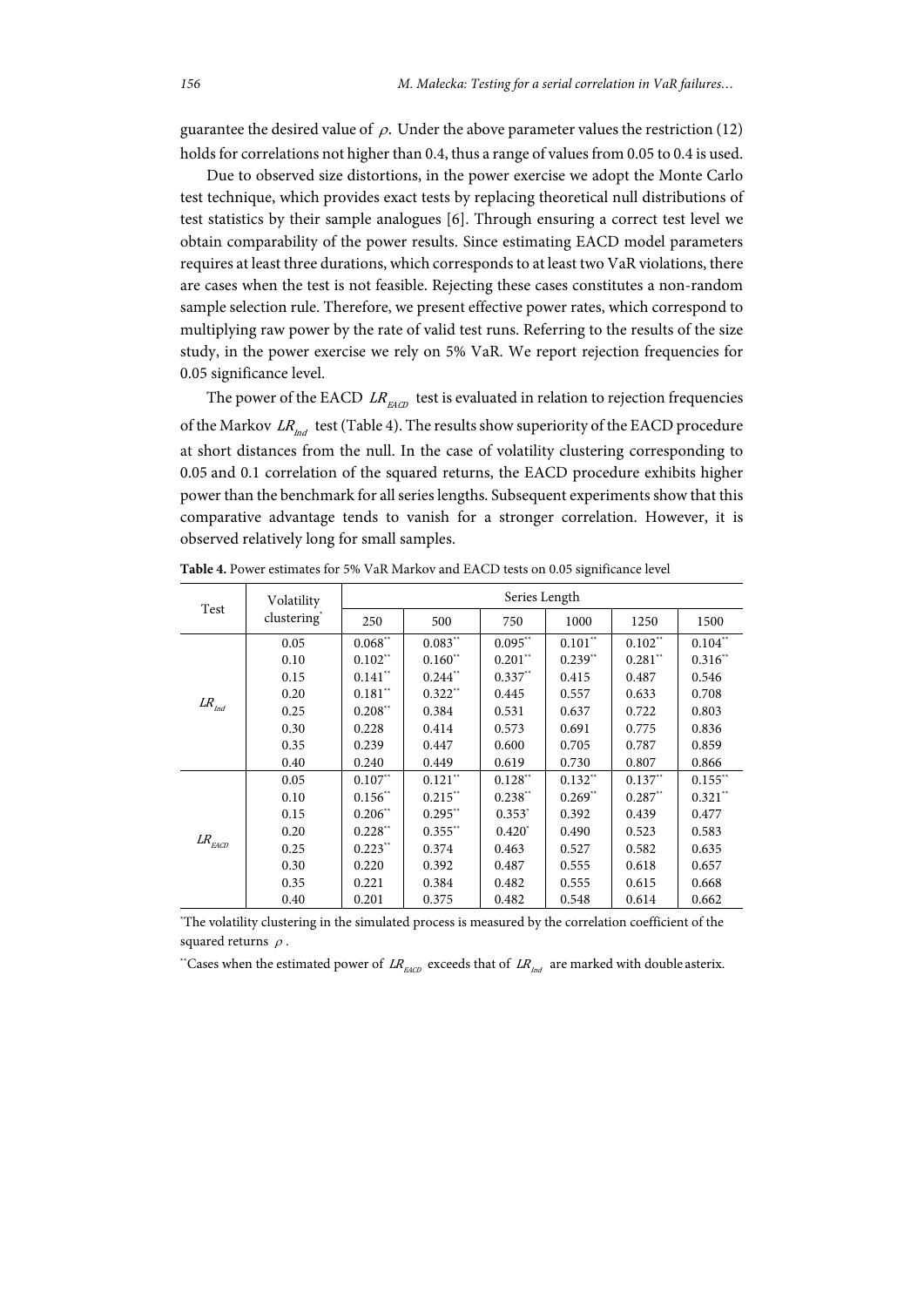guarantee the desired value of  $\rho$ . Under the above parameter values the restriction (12) holds for correlations not higher than 0.4, thus a range of values from 0.05 to 0.4 is used.

Due to observed size distortions, in the power exercise we adopt the Monte Carlo test technique, which provides exact tests by replacing theoretical null distributions of test statistics by their sample analogues [6]. Through ensuring a correct test level we obtain comparability of the power results. Since estimating EACD model parameters requires at least three durations, which corresponds to at least two VaR violations, there are cases when the test is not feasible. Rejecting these cases constitutes a non-random sample selection rule. Therefore, we present effective power rates, which correspond to multiplying raw power by the rate of valid test runs. Referring to the results of the size study, in the power exercise we rely on 5% VaR. We report rejection frequencies for 0.05 significance level.

The power of the EACD  $LR_{EACD}$  test is evaluated in relation to rejection frequencies of the Markov  $LR_{\text{ind}}$  test (Table 4). The results show superiority of the EACD procedure at short distances from the null. In the case of volatility clustering corresponding to 0.05 and 0.1 correlation of the squared returns, the EACD procedure exhibits higher power than the benchmark for all series lengths. Subsequent experiments show that this comparative advantage tends to vanish for a stronger correlation. However, it is observed relatively long for small samples.

| Test                  | Volatility              | Series Length      |                       |             |           |           |            |  |
|-----------------------|-------------------------|--------------------|-----------------------|-------------|-----------|-----------|------------|--|
|                       | clustering <sup>*</sup> | 250                | 500                   | 750         | 1000      | 1250      | 1500       |  |
|                       | 0.05                    | $0.068^{\ast\ast}$ | $0.083**$             | $0.095**$   | $0.101**$ | $0.102**$ | $0.104**$  |  |
|                       | 0.10                    | $0.102**$          | $0.160**$             | $0.201$ **  | $0.239**$ | $0.281**$ | $0.316**$  |  |
|                       | 0.15                    | $0.141$ **         | $0.244$ <sup>**</sup> | $0.337**$   | 0.415     | 0.487     | 0.546      |  |
|                       | 0.20                    | $0.181**$          | $0.322**$             | 0.445       | 0.557     | 0.633     | 0.708      |  |
| ${\it LR}_{\it Ind}$  | 0.25                    | $0.208**$          | 0.384                 | 0.531       | 0.637     | 0.722     | 0.803      |  |
|                       | 0.30                    | 0.228              | 0.414                 | 0.573       | 0.691     | 0.775     | 0.836      |  |
|                       | 0.35                    | 0.239              | 0.447                 | 0.600       | 0.705     | 0.787     | 0.859      |  |
|                       | 0.40                    | 0.240              | 0.449                 | 0.619       | 0.730     | 0.807     | 0.866      |  |
| ${\it LR}_{\rm EACD}$ | 0.05                    | $0.107**$          | $0.121^{\ast\ast}$    | $0.128**$   | $0.132**$ | $0.137**$ | $0.155**$  |  |
|                       | 0.10                    | $0.156**$          | $0.215**$             | $0.238**$   | $0.269**$ | $0.287**$ | $0.321$ ** |  |
|                       | 0.15                    | $0.206**$          | $0.295**$             | $0.353^*$   | 0.392     | 0.439     | 0.477      |  |
|                       | 0.20                    | $0.228**$          | $0.355**$             | $0.420^{*}$ | 0.490     | 0.523     | 0.583      |  |
|                       | 0.25                    | $0.223**$          | 0.374                 | 0.463       | 0.527     | 0.582     | 0.635      |  |
|                       | 0.30                    | 0.220              | 0.392                 | 0.487       | 0.555     | 0.618     | 0.657      |  |
|                       | 0.35                    | 0.221              | 0.384                 | 0.482       | 0.555     | 0.615     | 0.668      |  |
|                       | 0.40                    | 0.201              | 0.375                 | 0.482       | 0.548     | 0.614     | 0.662      |  |

**Table 4.** Power estimates for 5% VaR Markov and EACD tests on 0.05 significance level

\* The volatility clustering in the simulated process is measured by the correlation coefficient of the squared returns  $\rho$ .

\*Cases when the estimated power of  $LR_{EAC}$  exceeds that of  $LR_{Ind}$  are marked with double asterix.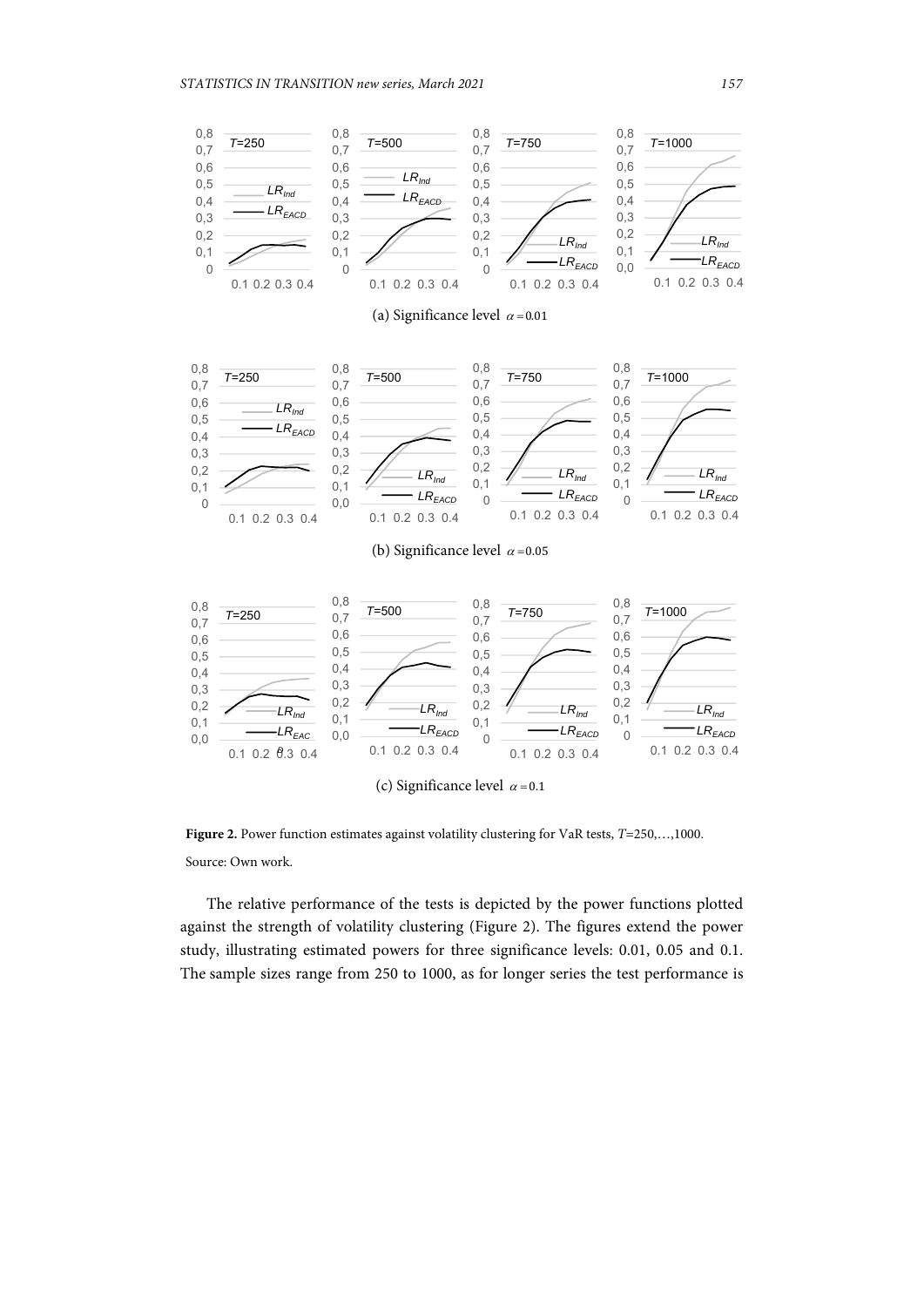

**Figure 2.** Power function estimates against volatility clustering for VaR tests, *T*=250,…,1000. Source: Own work.

The relative performance of the tests is depicted by the power functions plotted against the strength of volatility clustering (Figure 2). The figures extend the power study, illustrating estimated powers for three significance levels: 0.01, 0.05 and 0.1. The sample sizes range from 250 to 1000, as for longer series the test performance is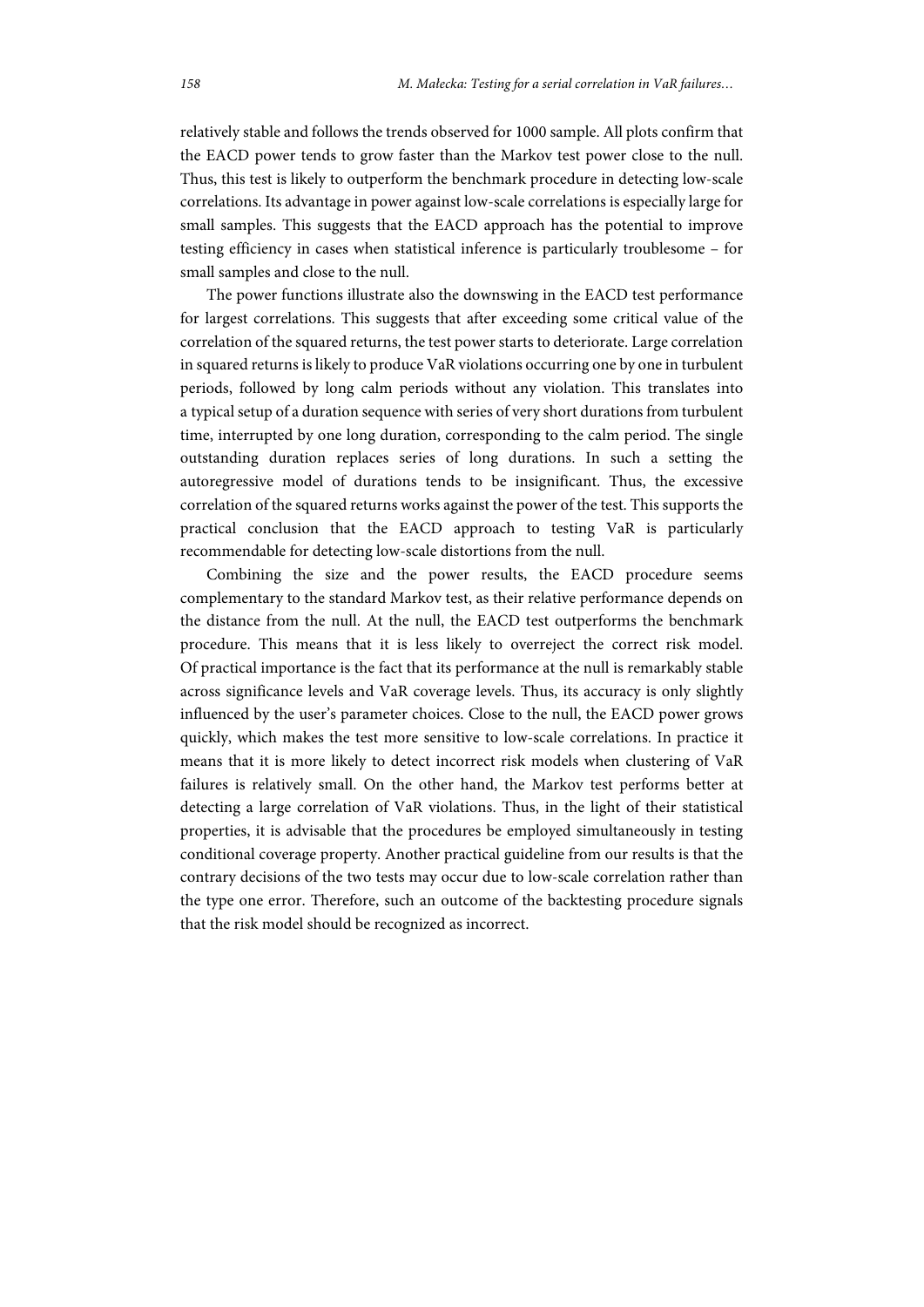relatively stable and follows the trends observed for 1000 sample. All plots confirm that the EACD power tends to grow faster than the Markov test power close to the null. Thus, this test is likely to outperform the benchmark procedure in detecting low-scale correlations. Its advantage in power against low-scale correlations is especially large for small samples. This suggests that the EACD approach has the potential to improve testing efficiency in cases when statistical inference is particularly troublesome – for small samples and close to the null.

The power functions illustrate also the downswing in the EACD test performance for largest correlations. This suggests that after exceeding some critical value of the correlation of the squared returns, the test power starts to deteriorate. Large correlation in squared returns is likely to produce VaR violations occurring one by one in turbulent periods, followed by long calm periods without any violation. This translates into a typical setup of a duration sequence with series of very short durations from turbulent time, interrupted by one long duration, corresponding to the calm period. The single outstanding duration replaces series of long durations. In such a setting the autoregressive model of durations tends to be insignificant. Thus, the excessive correlation of the squared returns works against the power of the test. This supports the practical conclusion that the EACD approach to testing VaR is particularly recommendable for detecting low-scale distortions from the null.

Combining the size and the power results, the EACD procedure seems complementary to the standard Markov test, as their relative performance depends on the distance from the null. At the null, the EACD test outperforms the benchmark procedure. This means that it is less likely to overreject the correct risk model. Of practical importance is the fact that its performance at the null is remarkably stable across significance levels and VaR coverage levels. Thus, its accuracy is only slightly influenced by the user's parameter choices. Close to the null, the EACD power grows quickly, which makes the test more sensitive to low-scale correlations. In practice it means that it is more likely to detect incorrect risk models when clustering of VaR failures is relatively small. On the other hand, the Markov test performs better at detecting a large correlation of VaR violations. Thus, in the light of their statistical properties, it is advisable that the procedures be employed simultaneously in testing conditional coverage property. Another practical guideline from our results is that the contrary decisions of the two tests may occur due to low-scale correlation rather than the type one error. Therefore, such an outcome of the backtesting procedure signals that the risk model should be recognized as incorrect.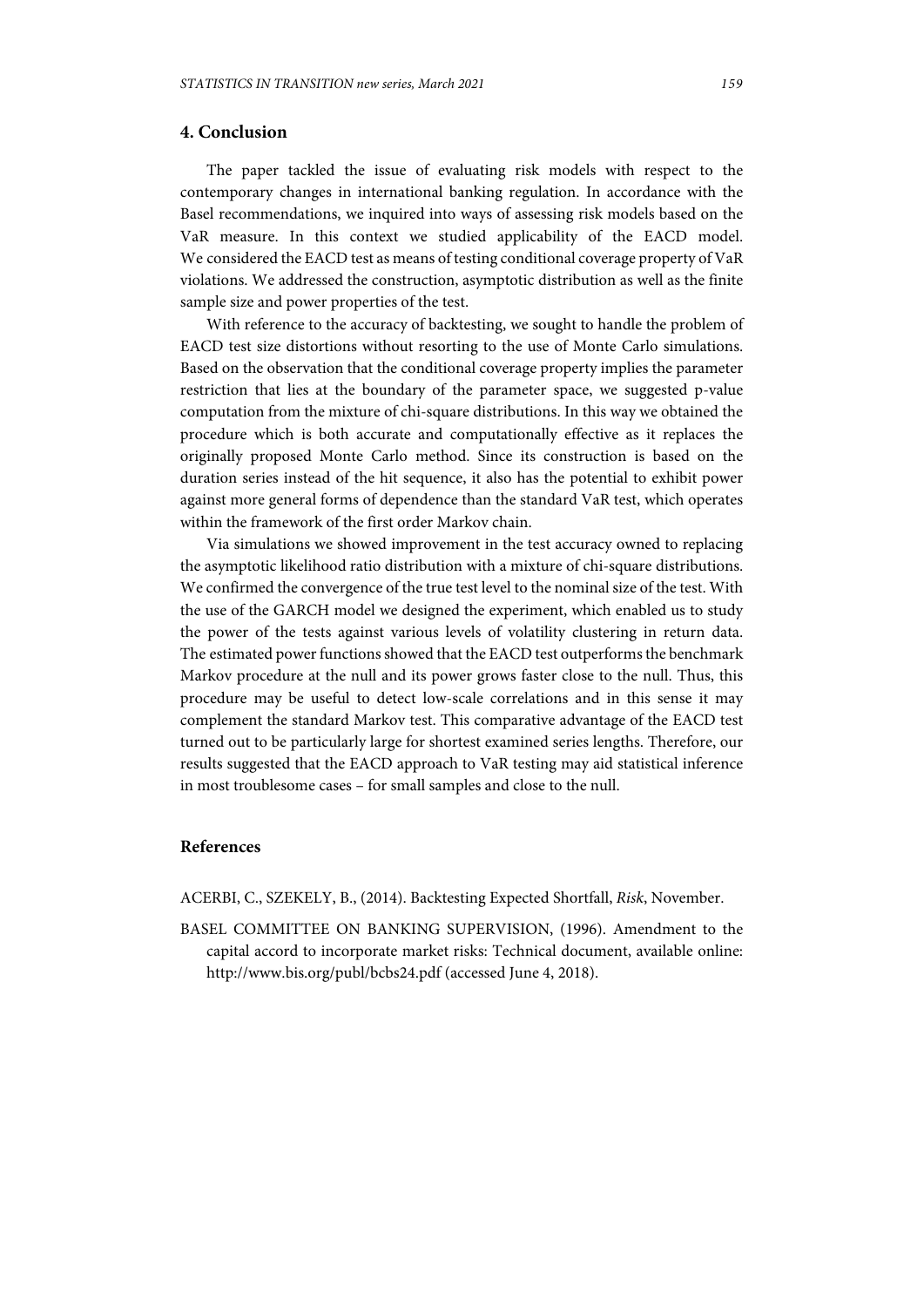## **4. Conclusion**

The paper tackled the issue of evaluating risk models with respect to the contemporary changes in international banking regulation. In accordance with the Basel recommendations, we inquired into ways of assessing risk models based on the VaR measure. In this context we studied applicability of the EACD model. We considered the EACD test as means of testing conditional coverage property of VaR violations. We addressed the construction, asymptotic distribution as well as the finite sample size and power properties of the test.

With reference to the accuracy of backtesting, we sought to handle the problem of EACD test size distortions without resorting to the use of Monte Carlo simulations. Based on the observation that the conditional coverage property implies the parameter restriction that lies at the boundary of the parameter space, we suggested p-value computation from the mixture of chi-square distributions. In this way we obtained the procedure which is both accurate and computationally effective as it replaces the originally proposed Monte Carlo method. Since its construction is based on the duration series instead of the hit sequence, it also has the potential to exhibit power against more general forms of dependence than the standard VaR test, which operates within the framework of the first order Markov chain.

Via simulations we showed improvement in the test accuracy owned to replacing the asymptotic likelihood ratio distribution with a mixture of chi-square distributions. We confirmed the convergence of the true test level to the nominal size of the test. With the use of the GARCH model we designed the experiment, which enabled us to study the power of the tests against various levels of volatility clustering in return data. The estimated power functions showed that the EACD test outperforms the benchmark Markov procedure at the null and its power grows faster close to the null. Thus, this procedure may be useful to detect low-scale correlations and in this sense it may complement the standard Markov test. This comparative advantage of the EACD test turned out to be particularly large for shortest examined series lengths. Therefore, our results suggested that the EACD approach to VaR testing may aid statistical inference in most troublesome cases – for small samples and close to the null.

# **References**

ACERBI, C., SZEKELY, B., (2014). Backtesting Expected Shortfall, *Risk*, November.

BASEL COMMITTEE ON BANKING SUPERVISION, (1996). Amendment to the capital accord to incorporate market risks: Technical document, available online: http://www.bis.org/publ/bcbs24.pdf (accessed June 4, 2018).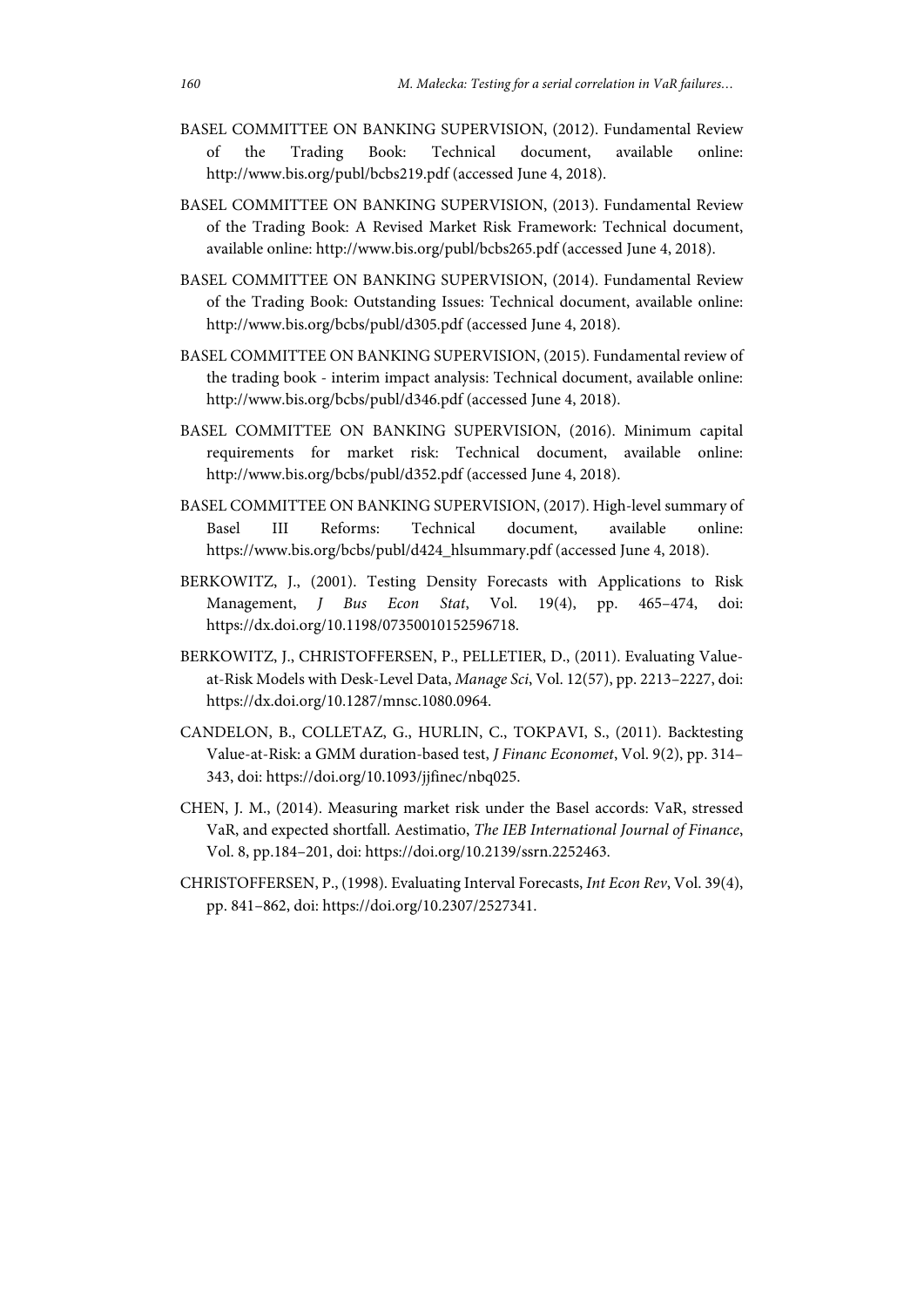- BASEL COMMITTEE ON BANKING SUPERVISION, (2012). Fundamental Review of the Trading Book: Technical document, available online: http://www.bis.org/publ/bcbs219.pdf (accessed June 4, 2018).
- BASEL COMMITTEE ON BANKING SUPERVISION, (2013). Fundamental Review of the Trading Book: A Revised Market Risk Framework: Technical document, available online: http://www.bis.org/publ/bcbs265.pdf (accessed June 4, 2018).
- BASEL COMMITTEE ON BANKING SUPERVISION, (2014). Fundamental Review of the Trading Book: Outstanding Issues: Technical document, available online: http://www.bis.org/bcbs/publ/d305.pdf (accessed June 4, 2018).
- BASEL COMMITTEE ON BANKING SUPERVISION, (2015). Fundamental review of the trading book - interim impact analysis: Technical document, available online: http://www.bis.org/bcbs/publ/d346.pdf (accessed June 4, 2018).
- BASEL COMMITTEE ON BANKING SUPERVISION, (2016). Minimum capital requirements for market risk: Technical document, available online: http://www.bis.org/bcbs/publ/d352.pdf (accessed June 4, 2018).
- BASEL COMMITTEE ON BANKING SUPERVISION, (2017). High-level summary of Basel III Reforms: Technical document, available online: https://www.bis.org/bcbs/publ/d424\_hlsummary.pdf (accessed June 4, 2018).
- BERKOWITZ, J., (2001). Testing Density Forecasts with Applications to Risk Management, *J Bus Econ Stat*, Vol. 19(4), pp. 465–474, doi: https://dx.doi.org/10.1198/07350010152596718.
- BERKOWITZ, J., CHRISTOFFERSEN, P., PELLETIER, D., (2011). Evaluating Valueat-Risk Models with Desk-Level Data, *Manage Sci*, Vol. 12(57), pp. 2213–2227, doi: https://dx.doi.org/10.1287/mnsc.1080.0964.
- CANDELON, B., COLLETAZ, G., HURLIN, C., TOKPAVI, S., (2011). Backtesting Value-at-Risk: a GMM duration-based test, *J Financ Economet*, Vol. 9(2), pp. 314– 343, doi: https://doi.org/10.1093/jjfinec/nbq025.
- CHEN, J. M., (2014). Measuring market risk under the Basel accords: VaR, stressed VaR, and expected shortfall. Aestimatio, *The IEB International Journal of Finance*, Vol. 8, pp.184–201, doi: https://doi.org/10.2139/ssrn.2252463.
- CHRISTOFFERSEN, P., (1998). Evaluating Interval Forecasts, *Int Econ Rev*, Vol. 39(4), pp. 841–862, doi: https://doi.org/10.2307/2527341.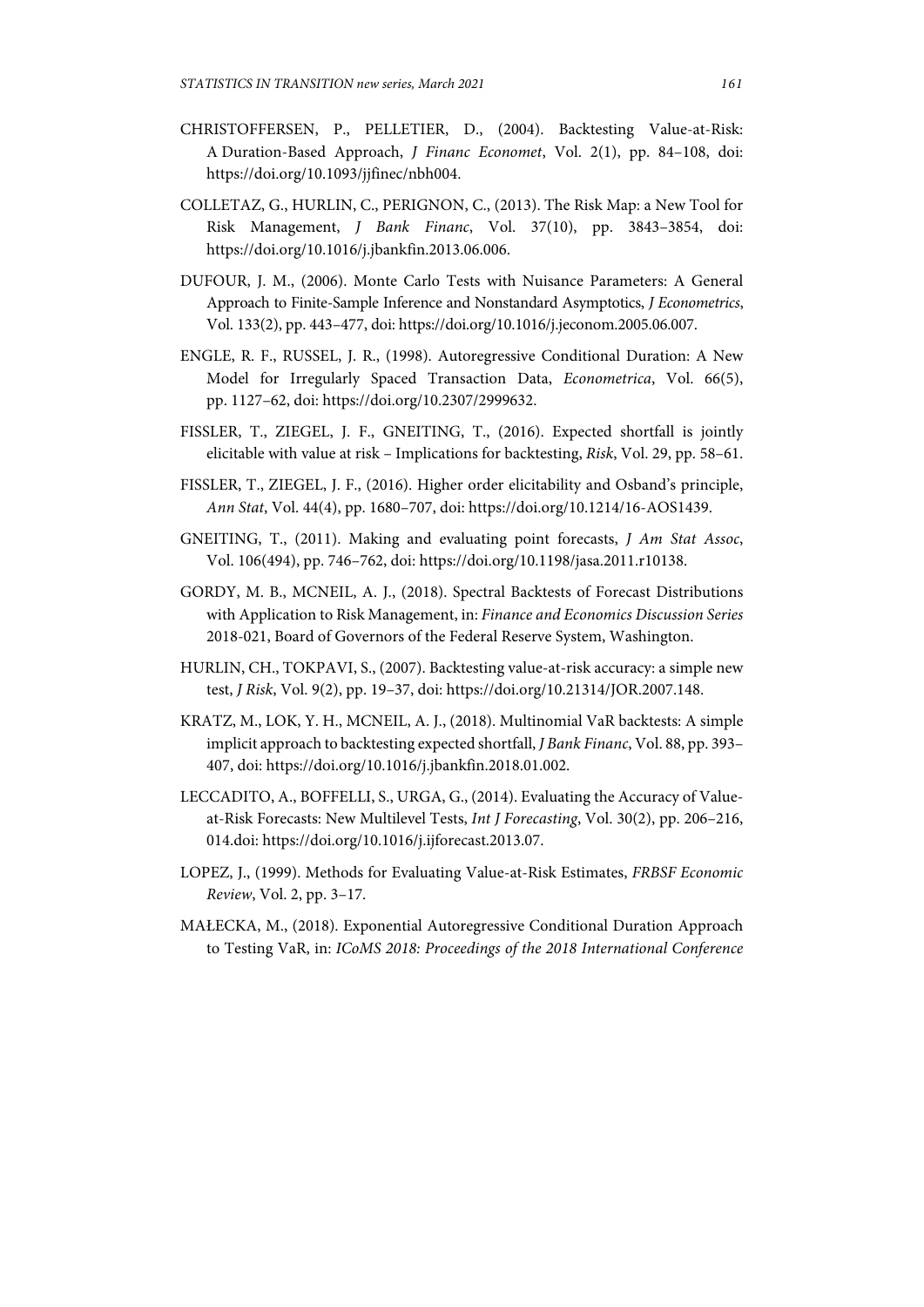- CHRISTOFFERSEN, P., PELLETIER, D., (2004). Backtesting Value-at-Risk: A Duration-Based Approach, *J Financ Economet*, Vol. 2(1), pp. 84–108, doi: https://doi.org/10.1093/jjfinec/nbh004.
- COLLETAZ, G., HURLIN, C., PERIGNON, C., (2013). The Risk Map: a New Tool for Risk Management, *J Bank Financ*, Vol. 37(10), pp. 3843–3854, doi: https://doi.org/10.1016/j.jbankfin.2013.06.006.
- DUFOUR, J. M., (2006). Monte Carlo Tests with Nuisance Parameters: A General Approach to Finite-Sample Inference and Nonstandard Asymptotics, *J Econometrics*, Vol. 133(2), pp. 443–477, doi: https://doi.org/10.1016/j.jeconom.2005.06.007.
- ENGLE, R. F., RUSSEL, J. R., (1998). Autoregressive Conditional Duration: A New Model for Irregularly Spaced Transaction Data, *Econometrica*, Vol. 66(5), pp. 1127–62, doi: https://doi.org/10.2307/2999632.
- FISSLER, T., ZIEGEL, J. F., GNEITING, T., (2016). Expected shortfall is jointly elicitable with value at risk – Implications for backtesting, *Risk*, Vol. 29, pp. 58–61.
- FISSLER, T., ZIEGEL, J. F., (2016). Higher order elicitability and Osband's principle, *Ann Stat*, Vol. 44(4), pp. 1680–707, doi: https://doi.org/10.1214/16-AOS1439.
- GNEITING, T., (2011). Making and evaluating point forecasts, *J Am Stat Assoc*, Vol. 106(494), pp. 746–762, doi: https://doi.org/10.1198/jasa.2011.r10138.
- GORDY, M. B., MCNEIL, A. J., (2018). Spectral Backtests of Forecast Distributions with Application to Risk Management, in: *Finance and Economics Discussion Series* 2018-021, Board of Governors of the Federal Reserve System, Washington.
- HURLIN, CH., TOKPAVI, S., (2007). Backtesting value-at-risk accuracy: a simple new test, *J Risk*, Vol. 9(2), pp. 19–37, doi: https://doi.org/10.21314/JOR.2007.148.
- KRATZ, M., LOK, Y. H., MCNEIL, A. J., (2018). Multinomial VaR backtests: A simple implicit approach to backtesting expected shortfall, *J Bank Financ*, Vol. 88, pp. 393– 407, doi: https://doi.org/10.1016/j.jbankfin.2018.01.002.
- LECCADITO, A., BOFFELLI, S., URGA, G., (2014). Evaluating the Accuracy of Valueat-Risk Forecasts: New Multilevel Tests, *Int J Forecasting*, Vol. 30(2), pp. 206–216, 014.doi: https://doi.org/10.1016/j.ijforecast.2013.07.
- LOPEZ, J., (1999). Methods for Evaluating Value-at-Risk Estimates, *FRBSF Economic Review*, Vol. 2, pp. 3–17.
- MAŁECKA, M., (2018). Exponential Autoregressive Conditional Duration Approach to Testing VaR, in: *ICoMS 2018: Proceedings of the 2018 International Conference*